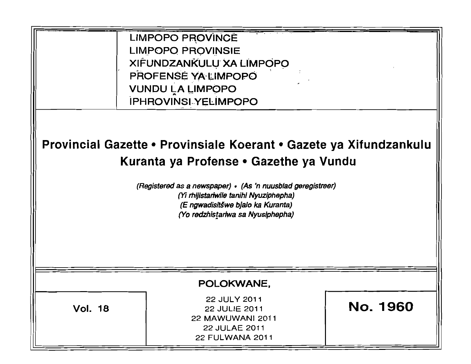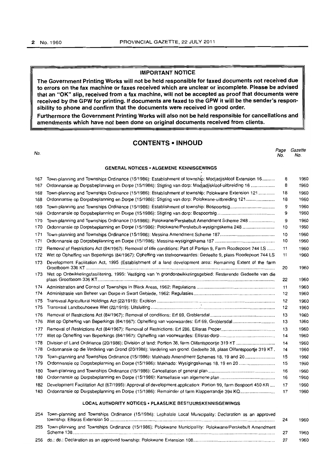#### **IMPORTANT NOTICE**

**The Government Printing Works will not be held responsible for faxed documents not received due to errors on the fax machine or faxes received which are unclear or incomplete. Please be advised that an "OK" slip, received from a fax machine, will not be accepted as proof that documents were received by the GPW for printing. If documents are faxed to the GPW it will be the sender's responsibility to phone and confirm that the documents were received in good order.** 

**Furthermore the Government Printing Works will also not be held responsible for cancellations and amendments which have not been done on original documents received from clients.** 

### **CONTENTS • INHOUD**

| No. |                                                                                                         | Page<br>No. | Gazette<br>No. |
|-----|---------------------------------------------------------------------------------------------------------|-------------|----------------|
|     | <b>GENERAL NOTICES • ALGEMENE KENNISGEWINGS</b>                                                         |             |                |
| 167 | Town-planning and Townships Ordinance (15/1986): Establishment of township: Modjadjiskloof Extension 16 | 8           | 1960           |
| 167 | Ordonnansie op Dorpsbeplanning en Dorpe (15/1986): Stigting van dorp: Modjadjiskloof-uitbreiding 16     | 8           | 1960           |
| 168 | Town-planning and Townships Ordinance (15/1986): Establishment of township: Polokwane Extension 121     | 18          | 1960           |
|     | 168 Ordonnansie op Dorpsbeplanning en Dorpe (15/1986): Stigting van dorp: Polokwane-uitbreiding 121     | 18          | 1960           |
| 169 |                                                                                                         | 9           | 1960           |
|     |                                                                                                         | 9           | 1960           |
| 170 | Town-planning and Townships Ordinance (15/1986): Polokwane/Perskebult Amendment Scheme 248              | 9           | 1960           |
|     |                                                                                                         | 10          | 1960           |
| 171 |                                                                                                         | 10.         | 1960.          |

| 168 | Ordonnansie op Dorpsbeplanning en Dorpe (15/1986): Stigting van dorp: Polokwane-uitbreiding 121                   | 18 | 1960 |
|-----|-------------------------------------------------------------------------------------------------------------------|----|------|
| 169 |                                                                                                                   | 9  | 1960 |
| 169 |                                                                                                                   | 9  | 1960 |
| 170 | Town-planning and Townships Ordinance (15/1986): Polokwane/Perskebult Amendment Scheme 248                        | 9  | 1960 |
| 170 | Ordonnansie op Dorpsbeplanning en Dorpe (15/1986): Polokwane/Perskebult-wysigingskema 248                         | 10 | 1960 |
| 171 |                                                                                                                   | 10 | 1960 |
| 171 |                                                                                                                   | 10 | 1960 |
| 172 | Removal of Restrictions Act (84/1967): Removal of title conditions: Part of Portion 9, Farm Roodepoort 744 LS     | 11 | 1960 |
| 172 | Wet op Opheffing van Beperkings (84/1967): Opheffing van titelvoorwaardes: Gedeelte 9, plaas Roodepoort 744 LS    | 11 | 1960 |
| 173 | Development Facilitation Act, 1995 (Establishment of a land development area: Remaining Extent of the farm        | 20 | 1960 |
| 173 | Wet op Ontwikkelingsfasilitering, 1995: Vestiging van 'n grondontwikkelingsgebied: Resterende Gedeelte van die    | 22 | 1960 |
| 174 |                                                                                                                   | 11 | 1960 |
| 174 |                                                                                                                   | 12 | 1960 |
| 175 |                                                                                                                   | 12 | 1960 |
| 175 |                                                                                                                   | 12 | 1960 |
| 176 |                                                                                                                   | 13 | 1960 |
| 176 |                                                                                                                   | 13 | 1960 |
| 177 |                                                                                                                   | 13 | 1960 |
| 177 |                                                                                                                   | 14 | 1960 |
| 178 |                                                                                                                   | 14 | 1960 |
| 178 | Ordonnansie op die Verdeling van Grond (20/1986): Verdeling van grond: Gedeelte 38, plaas Olifantspoortje 319 KT. | 14 | 1960 |
| 179 | Town-planning and Townships Ordinance (15/1986): Makhado Amendment Schemes 18, 19 and 20                          | 15 | 1960 |
| 179 | Ordonnansie op Dorpsbeplanning en Dorpe (15/1986): Makhado: Wysigingskemas 18, 19 en 20                           | 15 | 1960 |
| 180 |                                                                                                                   | 16 | 1960 |
| 180 |                                                                                                                   | 16 | 1960 |
| 182 | Development Facilitation Act (67/1995): Approval of development application: Portion 99, farm Bospoort 450 KR     | 17 | 1960 |
| 183 | Ordonnansie op Dorpsbeplanning en Dorpe (15/1986): Remainder of farm Klapperrandje 394 KQ                         | 17 | 1960 |
|     |                                                                                                                   |    |      |

### **LOCAL AUTHORITY NOTICES· PLAASLIKE** BESTUURSKENNISGEWINGS

|     | 254 Town-planning and Townships Ordinance (15/1986): Lephalale Local Municipality: Declaration as an approved | 24 | 1960 |
|-----|---------------------------------------------------------------------------------------------------------------|----|------|
| 255 | Town-planning and Townships Ordinance (15/1986): Polokwane Municipallity: Polokwane/Perskebult Amendment      |    | 1960 |
|     |                                                                                                               |    |      |
|     |                                                                                                               |    | 1960 |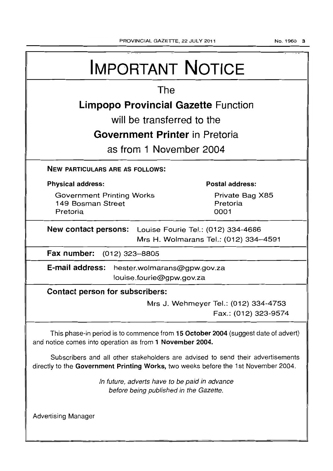| <b>IMPORTANT NOTICE</b>                                                                                                                                               |                                            |  |
|-----------------------------------------------------------------------------------------------------------------------------------------------------------------------|--------------------------------------------|--|
| The                                                                                                                                                                   |                                            |  |
|                                                                                                                                                                       | <b>Limpopo Provincial Gazette Function</b> |  |
|                                                                                                                                                                       | will be transferred to the                 |  |
|                                                                                                                                                                       | Government Printer in Pretoria             |  |
|                                                                                                                                                                       | as from 1 November 2004                    |  |
| <b>NEW PARTICULARS ARE AS FOLLOWS:</b>                                                                                                                                |                                            |  |
| <b>Physical address:</b>                                                                                                                                              | Postal address:                            |  |
| <b>Government Printing Works</b><br>149 Bosman Street<br>Pretoria                                                                                                     | Private Bag X85<br>Pretoria<br>0001        |  |
| New contact persons: Louise Fourie Tel.: (012) 334-4686<br>Mrs H. Wolmarans Tel.: (012) 334-4591                                                                      |                                            |  |
| Fax number: (012) 323-8805                                                                                                                                            |                                            |  |
| E-mail address: hester.wolmarans@gpw.gov.za<br>louise.fourie@gpw.gov.za                                                                                               |                                            |  |
| Contact person for subscribers:                                                                                                                                       |                                            |  |
| Mrs J. Wehmeyer Tel.: (012) 334-4753<br>Fax.: (012) 323-9574                                                                                                          |                                            |  |
| This phase-in period is to commence from 15 October 2004 (suggest date of advert)<br>and notice comes into operation as from 1 November 2004.                         |                                            |  |
| Subscribers and all other stakeholders are advised to send their advertisements<br>directly to the Government Printing Works, two weeks before the 1st November 2004. |                                            |  |
| In future, adverts have to be paid in advance<br>before being published in the Gazette.                                                                               |                                            |  |
| <b>Advertising Manager</b>                                                                                                                                            |                                            |  |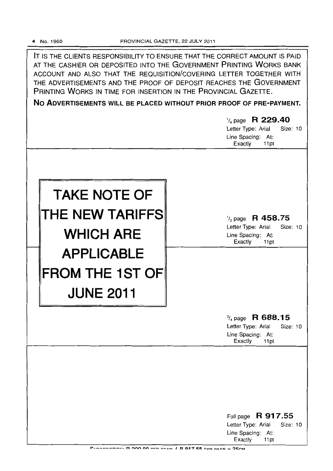IT IS THE CLIENTS RESPONSIBILITY TO ENSURE THAT THE CORRECT AMOUNT IS PAID AT THE CASHIER OR DEPOSITED INTO THE GOVERNMENT PRINTING WORKS BANK ACCOUNT AND ALSO THAT THE REQUISITION/COVERING LETTER TOGETHER WITH THE ADVERTISEMENTS AND THE PROOF OF DEPOSIT REACHES THE GOVERNMENT PRINTING WORKS IN TIME FOR INSERTION IN THE PROVINCIAL GAZETTE.

No ADVERTISEMENTS WILL BE PLACED WITHOUT PRIOR PROOF OF PRE-PAYMENT.

|                                                                        | 1/4 page R 229.40<br>Letter Type: Arial<br>Size: 10<br>Line Spacing: At:<br>Exactly<br>11pt           |
|------------------------------------------------------------------------|-------------------------------------------------------------------------------------------------------|
| <b>TAKE NOTE OF</b><br>THE NEW TARIFFS<br><b>WHICH ARE</b>             | $\frac{1}{2}$ page R 458.75<br>Letter Type: Arial<br>Size: 10<br>Line Spacing: At:<br>Exactly<br>11pt |
| <b>APPLICABLE</b><br>$\mid$ FROM THE 1ST OF $\mid$<br><b>JUNE 2011</b> |                                                                                                       |
|                                                                        | $\frac{3}{4}$ page R 688.15<br>Letter Type: Arial<br>Size: 10<br>Line Spacing: At:<br>Exactly<br>11pt |
|                                                                        | Full page R 917.55                                                                                    |
|                                                                        | Letter Type: Arial<br>Size: 10<br>Line Spacing: At:<br>Exactly<br>11pt                                |

CUPDODIDTION: D. 200.00 DED VEAR / R. 017 55 DER RAGE - 25CM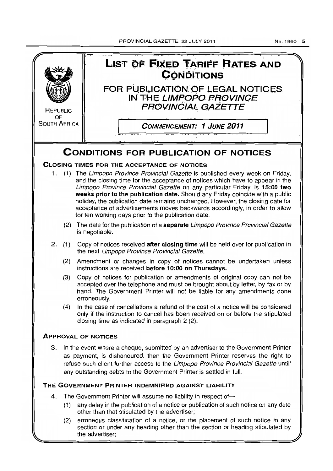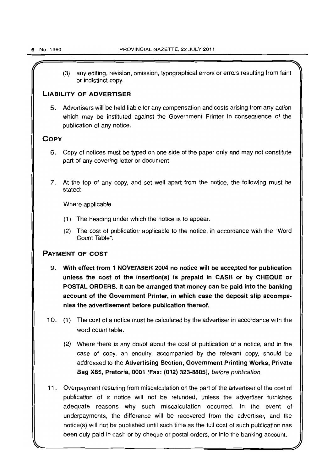(3) any editing, revision, omission, typographical errors or errors resulting from faint or indistinct copy,

### LIABILITY OF ADVERTISER

5. Advertisers will be held liable for any compensation and costs arising from any action which may be instituted against the Government Printer in consequence of the publication of any notice.

### **COPY**

- 6. Copy of notices must be typed on one side of the paper only and may not constitute part of any covering letter or document.
- 7. At the top of any copy, and set well apart from the notice, the following must be stated:

Where applicable

- (1) The heading under which the notice is to appear,
- (2) The cost of publication applicable to the notice, in accordance with the "Word Count Table",

### PAYMENT OF COST

- 9. With effect from 1 NOVEMBER 2004 no notice will be accepted for publication unless the cost of the insertion(s) is prepaid in CASH or by CHEQUE or POSTAL ORDERS. It can be arranged that money can be paid into the banking account of the Government Printer, in which case the deposit slip accompanies the advertisement before publication thereof.
- 10. (1) The cost of a notice must be calculated by the advertiser in accordance with the word count table.
	- (2) Where there is any doubt about the cost of publication of a notice, and in the case of copy, an enquiry, accompanied by the relevant copy, should be addressed to the Advertising Section, Government Printing Works, Private Bag X85, Pretoria, 0001 [Fax: (012) 323-8805], before publication.
- 11. Overpayment resulting from miscalculation on the part of the advertiser of the cost of publication of a notice will not be refunded, unless the advertiser furnishes adequate reasons why such miscalculation occurred. In the event of underpayments, the difference will be recovered from the advertiser, and the notice(s) will not be published until such time as the full cost of such publication has been duly paid in cash or by cheque or postal orders, or into the banking account.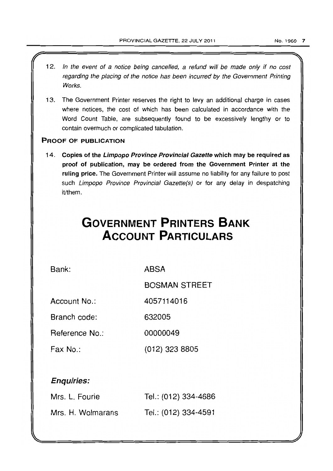- 12. In the event of a notice being cancelled, a refund will be made only if no cost regarding the placing of the notice has been incurred by the Government Printing **Works**
- 13. The Government Printer reserves the right to levy an additional charge in cases where notices, the cost of which has been calculated in accordance with the Word Count Table, are subsequently found to be excessively lengthy or to contain overmuch or complicated tabulation.

### PROOF OF PUBLICATION

14. Copies of the Limpopo Province Provincial Gazette which may be required as proof of publication, may be ordered from the Government Printer at the ruling price. The Government Printer will assume no liability for any failure to post such Limpopo Province Provincial Gazette(s) or for any delay in despatching it/them.

# **GOVERNMENT PRINTERS BANK ACCOUNT PARTICULARS**

Bank:

ABSA

BOSMAN STREET

Account No.: 4057114016

Branch code: 632005

Reference No.: 00000049

Fax No.: (012) 323 8805

### Enquiries:

| Mrs. L. Fourie    | Tel.: (012) 334-4686 |
|-------------------|----------------------|
| Mrs. H. Wolmarans | Tel.: (012) 334-4591 |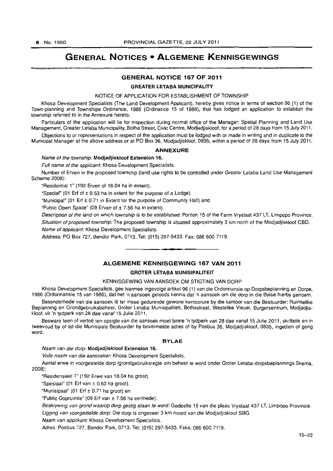# GENERAL NOTICES • ALGEMENE KENNISGEWINGS

### GENERAL NOTICE 167 OF 2011

GREATER LETABA MUNICIPALITY

#### NOTICE OF APPLICATION FOR ESTABLISHMENT OF TOWNSHIP

Khosa Development Specialists (The Land Development Applicant), hereby gives notice in terms of section 96 (1) of the Town-planning and Townships Ordinance, 1986 (Ordinance 15 of 1986), that has lodged an application to establish the township referred to in the Annexure hereto.

Particulars of the application will lie for inspection during normal office of the Manager: Spatial Planning and Land Use Management, Greater Letaba Municipality, Botha Street, Civic Centre, Modjadjiskloof, for a period of 28 days from 15 July 2011.

Objections to or representations in respect of the application must be lodged with or made in writing and in duplicate to the Municipal Manager at the above address or at PO Box 36, Modjadjiskloof, 0835, within a period of 28 days from 15 July 2011.

### ANNEXURE

### Name of the township: Modjadjiskloof Extension 16.

Full name of the applicant: Khosa Development Specialists.

Number of Erven in the proposed township (land use rights to be controlled under Greater Letaba Land Use Management Scheme 2008):

"Residential 1" (192 Erven of 18.04 ha in extent).

"Special" (01 Erf of  $\pm$  0.53 ha in extent for the purpose of a Lodge).

"Municipal" (01 Erf ± 0.71 in Extent for the purpose of Community Hall) and

·Public Open Space" (09 Erven of ± 7.56 ha in extent).

Description of the land on which township is to be established: Portion 15 of the Farm Vrystaat 437 LT, Limpopo Province. Situation of proposed township: The proposed township is situated approximately 3 km north of the Modjadjiskloof CBD. Name of applicant: Khosa Development Specialists.

Address: PO Box 727, Bendor Park, 0713. Tel: (015) 297-5433. Fax: 086 600 7119.

### ALGEMENE KENNISGEWING 167 VAN 2011

**-**

### GROTER LETABA MUNISIPALITEIT

#### KENNISGEWING VAN AANSOEK OM STIGTING VAN DORP

Khosa Development Specialists, gee hiermee ingevolge artikel 96 (1) van die Ordonnansie op Dorpsbeplanning en Dorpe, 1986 (Ordonnansie 15 van 1986). dal het 'n aansoek geloods kennis dat 'n aansoek om die dorp in die Bylae hierby genoem.

Besonderhede van die aansoek lê ter insae gedurende gewone kantoorure by die kantoor van die Bestuurder: Ruimtelike Beplanning en Grondgebruiksbeheer, Groter Letaba Munisipaliteit, Bothastraat, Westelike Vleuel, Burgersentrum, Modjadjiskloof. vir 'n Iydperk van 28 dae vanaf 15 Julie 2011.

Besware teen of vertoë ten opsigte van die aansoek moet binne 'n tydperk van 28 dae vanaf 15 Julie 2011, skriftelik en in tweevoud by of tot die Munisipale Bestuurder by bovermelde adres of by Posbus 36, Modjadjiskloof, 0835, ingedien of gerig word.

### BYLAE

Naam van die dorp: Modjadjiskloof Extension 16.

Volle naam van die aansoeker: Khosa Development Specialists.

Aanlal erwe in voorgestelde dorp (grondgebruiksregte om beheer te word onder Groter Letaba-dorpsbeplannings Skema, 2008):

"ResidensieeI1" (192 Erwe van 18.04 ha groot).

·Spesiaal" (01 Ert van ± 0.63 ha groot).

"Munisipaal" (01 Erf ± 0.71 ha grool) en

"Public Oopruimte" (09 Erf van ± 7.56 ha eenhede).

Beskrywing van grond waarop dorp gestig staan te word: Gedeelte 15 van die plaas Vrystaat 437 LT, Limpopo Provinsie. Ugging van voorgestelde dorp: Die dorp is ongeveer 3 km noord van die Modjadjiskloof SBG.

Naam van applikant: Khosa Development Specialists.

Adres: Posbus 727, Bendor Park, 0713. Tet: (015) 297-5433. Faks: 086 600 7119.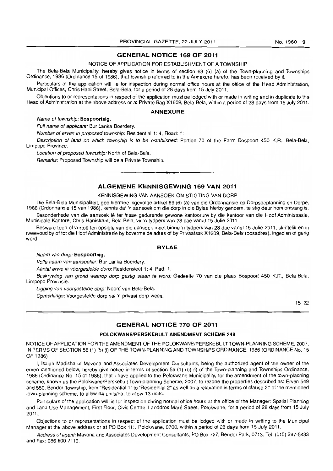### **GENERAL NOTICE 169 OF 2011**

#### NOTICE OF APPLICATION FOR ESTABLISHMENT OF A TOWNSHIP

The Bela-Bela Municipality, hereby gives notice in terms of section 69 (6) (a) of the Town-planning and Townships Ordinance, 1986 (Ordinance 15 of 1986), that township referred to in the Annexure hereto, has been received by it.

Particulars of the application will lie for inspection during normal office hours at the office of the Head Administration, Municipal Offices, Chris Hani Street. Bela-Bela, for a period of 28 days from 15 July 2011.

Objections to or representations in respect of the application must be lodged with or made in writing and in duplicate to the Head of Administration at the above address or at Private Bag X1609, Bela-Bela, within a period of 28 days from 15 July 2011.

#### **ANNEXURE**

Name of township: Bospoortsig.

Full name of applicant: Bur Lanka Boerdery.

Number of erven in proposed township: Residential 1: 4, Road: 1:

Description of land on which township is to be established: Portion 70 of the Farm Bospoort 450 K.R., Bela-Bela, Limpopo Province.

Location of proposed township: North of Bela-Bela.

Remarks: Proposed Township will be a Private Township. **-.** 

### **ALGEMENE KENNISGEWING 169 VAN 2011**

#### KENNISGEWING VAN AANSOEK OM STIGTING VAN DORP

Die Bela-Bela Munisipaliteit. gee hiermee ingevolge artikel 69 (6) (a) van die Ordonnansie op Dorpsbeplanning en Dorpe. 1986 (Ordonnansie 15 van 1986), kennis dat 'n aansoek om die dorp in die Bylae hierby genoem. te stig deur hom ontvang is.

Besonderhede van die aansoek lê ter insae gedurende gewone kantoorure by die kantoor van die Hoof Administrasie, Munisipale Kantore, Chris Hanistraat, Bela-Bela, vir 'n tydperk van 28 dae vanaf 15 Julie 2011.

Besware teen of vertoë ten opsigte van die aansoek moet binne 'n tydperk van 28 dae vanaf 15 Julie 2011, skriftelik en in tweevoud by of tot die Hoof Administrasie by bovermelde adres of by Privaatsak X1609, Bela-Bela (posadres), ingedien of gerig word.

### **BYLAE**

Naam van dorp: Bospoortsig.

Volle naam van aansoeker: Bur Lanka Boerdery.

Aantal erwe in voorgestelde dorp: Residensieel 1: 4, Pad: 1.

Beskrywing van grond waarop dorp gestig staan te word: Gedeelte 70 van die plaas Bospoort 450 K.R., Bela-Bela, Limpopo Provinsie.

Ligging van voorgestelde dorp: Noord van Bela-Bela.

Opmerkings: Voorgestelde dorp sal 'n privaat dorp wees.

15-22

### **GENERAL NOTICE 170 OF 2011**

### POLOKWANE/PERSKEBULT AMENDMENT SCHEME 248

NOTICE OF APPLICATION FOR THE AMENDMENT OF THE POLOKWANE/PERSKEBULT TOWN-PLANNING SCHEME, 2007, IN TERMS OF SECTION 56 (1) (b) (i) OF THE TOWN-PLANNING AND TOWNSHIPS ORDINANCE, 1986 (ORDINANCE No. 15 OF 1986)

I, Isaiah Madisha of Mavona and Associates Development Consultants, being the authorized agent of the owner of the erven mentioned below. hereby give notice in terms of section 56 (1) (b) (i) of the Town-planning and Townships Ordinance, 1986 (Ordinance No. 15 of 1986), that I have applied to the Polokwane Municipality, for the amendment of the town-planning scheme, known as the Polokwane/Perskebult Town-planning Scheme, 2007, to rezone the properties described as: Erven 549 and 550, Bendor Township, from "Residential 1" to "Residential 2" as well as a relaxation in terms of clause 21 of the mentioned town-planning scheme, to allow 44 units/ha, to allow 13 units.

Particulars of the application will lie for inspection during normal office hours at the office of the Manager: Spatial Planning and Land Use Management, First Floor, Civic Centre, Landdros Maré Street, Polokwane, for a period of 28 days from 15 July 2011-

Objections to or representations in respect of the application must be lodged with or made in writing to the Municipal Manager at the above address or at PO Box 111, Polokwane, 0700, within a period of 28 days from 15 July 2011.

Address of agent: Mavona and Associates Development Consultants, PO Box 727, Bendor Park, 0713. Tel: (015) 297·5433 and Fax: 086 600 7119.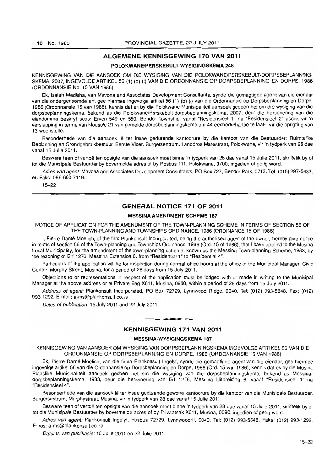### **ALGEMENE KENNISGEWING 170 VAN 2011**

### **POLOKWANEIPERSKEBULT·WYSIGINGSKEMA 248**

KENNISGEWING VAN DIE AANSOEK OM DIE WYSIGING VAN DIE POLOKWANEJPERSKEBULT-DORPSBEPLANNING-SKEMA, 2007, INGEVOLGE ARTIKEL 56 (1) (b) (i) VAN DIE ORDONNANSIE OP DORPSBEPLANNING EN DORPE, 1986 (ORDONNANSIE No. 15 VAN 1986)

Ek, Isaiah Madisha, van Mavona and Associates Development Consultants, synde die gemagtigde agent van die eienaar van die ondergenoemde erf, gee hiermee ingevolge artikel 56 (1) (b) (i) van die Ordonnansie op Dorpsbeplanning en Dorpe, 1986 (Ordonnansie 15 van 1986), kennis dat ek by die Polokwane Munisipaliteit aansoek gedoen het om die wysiging van die dorpsbeplanningskema, bekend as die Polokwane/Perskebult-dorpsbeplanningskema, 2007, deur die hersonering van die eiendomme beskryf soos: Erven 549 en 550, Bendor Township, vanaf "Residensieel 1" na "Residensieel 2" asook vir 'n verslapping in terme van klousule 21 van gemelde dorpsbeplanningskema om 44 eenhede/ha toe te laat--vir die oprigting van 13 woonstelle.

Besonderhede van die aansoek lê ter insae gedurende kantoorure by die kantoor van die Bestuurder: Ruimtelike Beplanning en Grondgebruikbestuur, Eerste Vloer, Burgersentrum, Landdros Marestraat, Polokwane, vir 'n tydperk van 28 dae vanaf 15 Julie 2011.

Besware teen of vertoë ten opsigte van die aansoek moet binne 'n tydperk van 28 dae vanaf 15 Julie 2011, skriftelik by of tot die Munisipale Bestuurder by bovermelde adres of by Posbus 111, Polokwane, 0700, ingedien of gerig word.

Adres van agent: Mavona and Associates Development Consultants, PO Box 727, Bendor Park, 0713. Tel: (015) 297-5433. en Faks: 086 600 7119.

15-22

### **GENERAL NOTICE 171 OF 2011**

### **MESSINA AMENDMENT SCHEME 187**

NOTICE OF APPLICATION FOR THE AMENDMENT OF THE TOWN·PLANNING SCHEME IN TERMS OF SECTION 56 OF THE TOWN-PLANNING AND TOWNSHIPS ORDINANCE, 1986 (ORDINANCE 15 OF 1986)

I, Pierre Danté Moelich, of the firm Plankonsult Incorporated, being the authorised agent of the owner, hereby give notice in terms of section 56 of the Town-planning and Townships Ordinance, 1986 (Ord. 15 of 1986), that I have applied to the Musina Local Municipality, for the amendment of the town-planning scheme, known as the Messina Town-planning Scheme, 1983, by the rezoning of Erf 1276, Messina Extension 6, from "Residential 1" to "Residential 4".

Particulars of the application will lie for inspection during normal office hours at the office of the Municipal Manager, Civic Centre, Murphy Street, Musina, for a period of 28 days from 15 July 2011.

Objections to or representations in respect of the application must be lodged with or made in writing to the Municipal Manager at the above address or at Private Bag X611, Musina, 0900, within a period of 28 days from 15 July 2011.

Address of agent: Plankonsult Incorporated, PO Box 72729, Lynnwood Ridge, 0040. Tel: (012) 993-5848. Fax: (012) 993-1292. E-mail: a-ms@plankonsult.co.za

Dates of publication: 15 July 2011 and 22 July 2011.

### **KENNISGEWING 171 VAN 2011**

**• •** 

### **MESSINA-WYSIGINGSKEMA 187**

KENNISGEWING VAN AANSOEK OM WYSIGING VAN DORPSBEPLANNINGSKEMA INGEVOLGE ARTIKEL 56 VAN DIE ORDONNANSIE OP DORPSBEPLANNING EN DORPE, 1986 (ORDONNANSIE 15 VAN 1986)

Ek, Pierre Dante Moelich, van die firma Plankonsult Ingelyf, synde die gemagtigde agent van die eienaar, gee hiermee ingevolge artikel 56 van die Ordonnansie op Dorpsbeplanning en Dorpe, 1986 (Ord. 15 van 1986), kennis dat ek by die Musina Plaaslike Munisipaliteit aansoek gedoen het om die wysiging van die dorpsbeplanningskema, bekend as Messinadorpsbeplanningskema, 1983, deur die hersonering van Erf 1276, Messina Uilbreiding 6, vanal "Residensieel 1" na "Residensieel 4".

Besonderhede van die aansoek lê ter insae gedurende gewone kantoorure by die kantoor van die Munisipale Bestuurder. Burgersentrum, Murphystraat, Musina, vir 'n tydperk van 28 dae vanaf 15 Julie 2011.

Besware teen of vertoë ten opsigte van die aansoek moet binne 'n tydperk van 28 dae vanaf 15 Julie 2011, skriftelik by of tot die Munisipale Bestuurder by bovermelde adres of by Privaatsak X611, Musina. 0090, ingedien of gerig word.

Adres van agent: Plankonsult Ingelyf, Posbus 72729, Lynnwoodrif, 0040, Tel: (012) 993-5848. Faks: (012) 993-1292. E-pos: a-ms@plankonsult.co.za

Datums van publikasie: 15 Julie 2011 en 22 Julie 2011.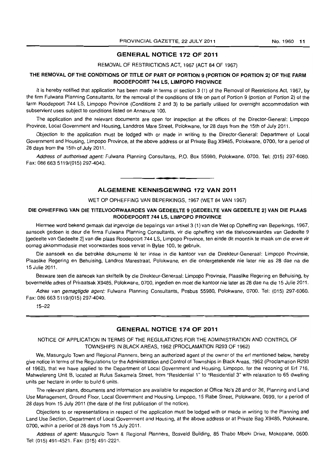### GENERAL NOTICE 172 OF 2011

#### REMOVAL OF RESTRICTIONS ACT, 1967 (ACT 84 OF 1967)

### THE REMOVAL OF THE CONDITIONS OF TITLE OF PART OF PORTION 9 (PORTION OF PORTION 2) OF THE FARM ROODEPOORT 744 LS, LIMPOPO PROVINCE

It is hereby notified that application has been made in terms of section 3 (1) of the Removal of Restrictions Act, 1967, by the firm Fulwana Planning Consultants, for the removal of the conditions of title on part of Portion 9 (portion of Portion 2) of the farm Roodepoort 744 LS, Limpopo Province (Conditions 2 and 3) to be partially utilised for overnight accommodation with subservient uses subject to conditions listed on Annexure 100.

The application and the relevant documents are open for inspection at the offices of the Director-General: Limpopo Province, Local Government and Housing, Landdros Mare Street, Polokwane, for 28 days from the 15th of July 2011.

Objection to the application must be lodged with or made in writing to the Director-General: Department of Local Government and Housing, Limpopo Province, at the above address or at Private Bag X9485, Polokwane, 0700, for a period of 28 days from the 15th of July 2011.

Address of authorised agent: Fulwana Planning Consultants, P.O. Box 55980, Polokwane, 0700. Tel: (015) 297-6060. Fax: 086 663 5119/(015) 297-4040.

#### ALGEMENE KENNISGEWING 172 VAN 2011

**• •** 

#### WET OP OPHEFFING VAN BEPERKINGS, 1967 (WET 84 VAN 1967)

### DIE OPHEFFING VAN DIE TITELVOORWAARDES VAN GEDEELTE 9 [GEDEELTE VAN GEDEELTE 2] VAN DIE PLAAS ROODEPOORT 744 LS, LIMPOPO PROVINCE

Hiermee word bekend gemaak dat ingevolge die bepalings van artikel3 (1) van die Wet op Opheffing van Beperkings, 1967, aansoek gedoen is deur die firma Fulwana Planning Consultants, vir die opheffing van die titelvoorwaardes van Gedeelte 9 [gedeelte van Gedeelte 2] van die plaas Roodepoort 744 LS, Limpopo Province, ten einde dit moontlik te maak am die erwe vir oornag akkommodasie met voorwaardes soos vervat in Bylae 100, te gebruik.

Die aansoek en die betrokke dokumente lê ter insae in die kantoor van die Direkteur-Generaal: Limpopo Provinsie, Plaaslike Regering en Behuising, Landros Marestraat, Polokwane, en die ondergetekende nie later nie as 28 dae na die 15 Julie 2011.

Besware teen die aansoek kan skriftelik by die Direkteur-Generaal: Limpopo Provinsie, Plaaslike Regering en 8ehuising, by bovermelde adres of Privaatsak X9485, Polokwane, 0700, ingedien en moet die kantoor nie later as 28 dae na die 15 Julie 2011.

Adres van gemagtigde agent: Fulwana Planning Consultants, Posbus 55980, Polokwane, 0700. Tel: (015) 297-6060. Fax: 086 663 5119/(015) 297-4040.

15-22

### GENERAL NOTICE 174 OF 2011

### NOTICE OF APPLICATION IN TERMS OF THE REGULATIONS FOR THE ADMINISTRATION AND CONTROL OF TOWNSHIPS IN BLACK AREAS, 1962 (PROCLAMATION R293 OF 1962)

We, Masungulo Town and Regional Planners, being an authorized agent of the owner of the erf mentioned below, hereby give notice in terms of the Regulations for the Administration and Control of Townships in Black Areas, 1962 (Proclamation R293 of 1962). that we have applied to the Department of Local Government and Housing, Limpopo, for the rezoning of Erf 716, Mahwelereng Unit B, located at Rufus Sakamela Street, from "Residential 1" to "Residential 3" with relaxation to 65 dwelling units per hectare in order to build 6 units.

The relevant plans, documents and information are available for inspection at Office No's 28 and or 36, Planning and Land Use Management, Ground Floor, Local Government and Housing, Limpopo, 15 Rabe Street, Polokwane, 0699, for a period of 28 days from 15 July 2011 (the date of the first publication of the notice).

Objections to or representations in respect of the application must be lodged with or made in writing to the Planning and Land Use Section, Department of Local Government and Housing, at the above address or at Private Bag X9485, Polokwane, 0700, within a period of 28 days from 15 July 2011.

Address of agent: Masungulo Town & Regional Planners, Bosveld Building, 85 Thabo Mbeki Drive, Mokopane, 0600. Tel: (015) 491-4521. Fax: (015) 491-2221.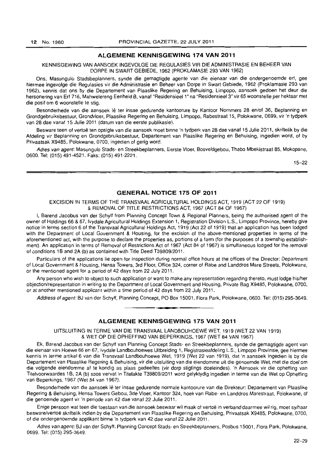### **ALGEMENE KENNISGEWING 174 VAN 2011**

### KENNISGEWING VAN AANSOEK INGEVOLGE DIE REGULASIES VIR DIE ADMINISTRASIE EN BEHEER VAN DORPE IN SWARTGEBIEDE, 1962 (PROKLAMASIE 293 VAN 1962)

Ons, Masungulo Stadsbeplanners, synde die gemagtigde agente van die eienaar van die ondergenoemde ert, gee hiermee ingevolge die Regulasies vir die Administrasie en Beheer van Dorpe in Swart Gebiede, 1962 (Proklamasie 293 van 1962), kennis dat ons by die Deparlement van Plaaslike Regering en Behuising, limpopo, aansoek gedoen het deur die hersonering van Erf 716, Mahwelereng Eenheid B, vanaf "Residensieel 1" na "Residensieel 3" vir 65 woonstelle per hektaar met die posit om 6 woonstelle te stig.

Besonderhede van die aansoek lê ter insae gedurende kantoorure by Kantoor Nommers 28 en/of 36, Beplanning en Grondgebruiksbesluur, Grondvloer, Plaaslike Regering en Behuising, Limpopo, Rabestraat 15, Polokwane, 0699, vir 'n tydperk van 28 dae vanaf 15 Julie 2011 (datum van die eerste publikasie).

Besware teen of verloe ten opsigte van die aansoek moet binne 'n tydperk van 28 dae vanal 15 Julie 2011, skriftelik by die Afdeling vir Beplanning en Grondgebruiksbestuur, Departement van Plaaslike Regering en Behuising, ingedien word, of by Privaatsak X9485. Polokwane, 0700, ingedien of gerig word.

Adres van agent: Masungulo Stads- en Streekbeplanners, Eerste Vloer, Bosveldgebou, Thabo Mbekistraat 85, Mokopane, 0600. Tel: (015) 491·4521. Faks: (Oi5) 491-2221.

15-22

### **GENERAL NOTICE 175 OF 2011**

EXCISION IN TERMS OF THE TRANSVAAL AGRICULTURAL HOLDINGS ACT, 1919 (ACT 22 OF 1919) & REMOVAL OF TITLE RESTRICTIONS ACT, 1967 (ACT 84 OF 1967)

I, Barend Jacobus van der Schyff from Planning Concept Town & Regional Planners, being the authorised agent of the owner of Holdings 66 & 67, Ivydale Agricultural Holdings Extension 1, Registration Division L.S., Limpopo Province, hereby give notice in terms section 6 of the Transvaal Agricultural Holdings Act, 1919 (Act 22 of 1919) that an application has been lodged with the Department of Local Government & Housing, for the excision of the above-mentioned properties in terms of the aforementioned act, with the purpose to declare the properties as, portions of a farm (for the purposes of a township establishment). An application in terms of Removal of Restrictions Act of 1967 (Act 84 of 1967) is simultaneous lodged for the removal of conditions 1B and 2A (b) as contained with Title Deed T39809/2011.

Particulars of the applications lie open for inspection during normal office hours at the offices of the Director: Department of Local Government & Housing, Hensa Towers, 3rd Floor, Office 324, corner of Rabe and Landdros Mare Streets, Polokwane, or the mentioned agent for a period of 42 days from 22 July 2011.

Any person who wish to object to such application or want to make any representation regarding thereto, must lodge his/her objection/representation in writing to the Department of Local Government and Housing, Private Bag X9485, Polokwane, 0700, or at another mentioned applicant within a time period of 42 days from 22 July 2011.

Address of agent: BJ van der Schyff, Planning Concept, PO Box 15001, Flora Park, Polokwane, 0600. Tel: (015) 295-3649. **. -**

### **ALGEMENE KENNISGEWING 175 VAN 2011**

UITSLUITING IN TERME VAN DIE TRANSVAAL LANDBOUHOEWE WET, 1919 (WET 22 VAN 1919) & WET OP DIE OPHEFFING VAN BEPERKINGS, 1967 (WET 84 VAN 1967)

Ek, Barend Jacobus van der Schyff van Planning Concept Stads- en Streekbeplanners, synde die gemagtigde agent van die eienaar van Hoewe 66 en 67, Ivydale Landbouhoewes Uitbreiding 1, Registrasieafdeling L.S., Limpopo Provinsie, gee hiermee kennis in terme artikel 6 van die Transvaal Landbouhoewe Wet, 1919 (Wet 22 van 1919), dat 'n aansoek ingedien is by die Departement van Plaaslike Regering & Behuising, vir die uitsluiting van die eiendomme uit die genoemde Wet, met die doel om die volgende eiendomme at te kondig as plaas gedeeltes (vir dorp stigtings doeleindes). 'n Aansoek vir die opheffing van Titelvoorwaardes 1B, 2A (b) soos vervat in Titelakte T39809/2011 word gelyktydig ingedien in terme van die Wet op Opheffing van Beperkings, 1967 (Wet 84 van 1967).

Besonderhede van die aansoek lê ter insae gedurende normale kantoorure van die Direkteur: Departement van Plaaslike Regering & Behuising, Hensa Towers Gebou, 3de Vloer, Kantoor 324, hoek van Rabe- en Landdros Marestraat, Polokwane, of die genoemde agent vir 'n periode van 42 dae vanaf 22 Julie 2011.

Enige persoon wat teen die toestaan van die aansoek beswaar wil maak of vertoë in verband daarmee wil rig, moet sy/haar beswaretvertoe skriftelik indien by die Departement van Plaaslike Regering en Behuising, Privaatsak X9485, Polokwane, 0700, of die ondergenoemde applikant binne 'n tydperk van 42 dae vanaf 22 Julie 2011.

Adres van agent: BJ van der Schyff, Planning Concept Stads- en Streekbeplanners, Posbus 15001, Flora Park, Polokwane, 0699. Tel: (015) 295-3649.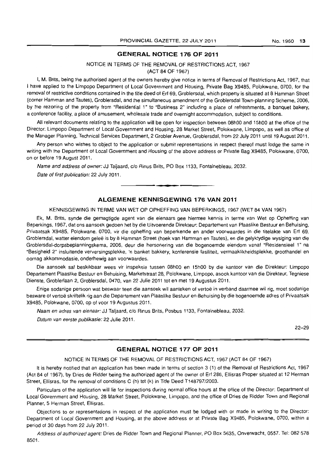### **GENERAL NOTICE 176 OF 2011**

### NOTICE IN TERMS OF THE REMOVAL OF RESTRICTIONS ACT, 1967 (ACT 84 OF 1967)

I, M. Brits, being the authorised agent of the owners hereby give notice in terms of Removal of Restrictions Act, 1967, that I have applied 10 the limpopo Department of Local Government and Housing, Private Bag X9485, Polokwane, 0700, for the removal of restrictive conditions contained in the title deed of Erf 69, Groblersdal, which property is situated at 8 Hamman Street (corner Hamman and Tautes), Groblersdal, and the simultaneous amendment of the Groblersdal Town-planning Scheme, 2006, by the rezoning of the property from "Residential 1" to "Business 2" including a place of refreshments, a banquet bakery, a conference facility, a place of amusement, wholesale trade and overnight accommodation, subject to conditions.

All relevant documents relating to the application will be open for inspection between 08hOO and 15hOO at the office of the Director: Limpopo Department of Local Government and Housing, 28 Market Street, Polokwane, limpopo, as well as office of the Manager Planning, Technical Services Department, 2 Grobler Avenue, Groblersdal, from 22 July 2011 until 19 August 2011.

Any person who wishes to object to the application or submit representations in respect thereof must lodge the same in writing with the Department of Local Government and Housing of the above address or Private Bag X9485, Polokwane, 0700, on or before 19 August 2011.

Name and address of owner: JJ Taljaard, c/o Rinus Brits, PO Box 1133, Fontainebleau, 2032.

Date of first publication: 22 July 2011.

### **ALGEMENE KENNISGEWING 176 VAN 2011**

. **. -**

#### KENNISGEWING IN TERME VAN WET OP OPHEFFING VAN BEPERKINGS, 1967 (WET 84 VAN 1967)

Ek, M. Brits, synde die gemagtigde agent van die eienaars gee hiermee kennis in terme van Wet op Opheffing van Beperkings, 1967, dat ons aansoek gedoen het by die Uitvoerende Direkteur: Departement van Plaaslike Bestuur en Behuising, Privaatsak X9485, Polokwane. 0700, vir die opheffing van beperkende en ander voorwaardes in die titelakte van Erf 69, Groblersdal, watter eiendom geleë is by 8 Hamman Street (hoek van Hamman en Tautes), en die gelyktydige wysiging van die Groblersdal-dorpsbeplanningskema, 2006. deur die hersonering van die bogenoemde eiendom vanaf "Residensieel 1" na "Besigheid 2" insluitende verversingsplekke, 'n banket bakkery, konferensie fasiliteit, vermaaklikheidsplekke, groothandel en oornag akkommodasie, onderhewig aan voorwaardes.

Die aansoek sal beskikbaar wees vir inspeksie tussen 08hOO en 15hOO by die kantoor van die Direkteur: Limpopo Departement Plaaslike Bestuur en Behuising, Marketstraat 28, Polokwane, Limpopo. asook kantoor van die Direkteur, Tegniese Dienste, Groblerlaan 2, Groblersdal, 0470, van 22 Julie 2011 tot en met 19 Augustus 2011.

Enige sodanige persoon wat beswaar teen die aansoek wil aanteken of vertoë in verband daarmee wil rig, moet sodanige besware of vertoe skriftelik rig aan die Departement van Plaaslike Bestuur en Behuising by die bogenoemde adres of Privaatsak X9485, Polokwane, 0700, op of voor 19 Augustus 2011.

Naam en adres van eienaar: JJ Taljaard, c/o Rinus Brits, Posbus 1133, Fontainebleau, 2032.

Datum van eerste publikasie: 22 Julie 2011.

22-29

### **GENERAL NOTICE 177 OF 2011**

#### NOTICE IN TERMS OF THE REMOVAL OF RESTRICTIONS ACT, 1967 (ACT 84 OF 1967)

It is hereby notified that an application has been made in terms of section 3 (1) of the Removal of Restrictions Act, 1967 (Act 84 of 1967), by Dries de Ridder being the authorized agent of the owner of Erf 286, Ellisras Proper situated al 12 Herman Street, Ellisras, for the removal of conditions C (h) tot (k) in Title Deed T148797/2003.

Particulars of the application will lie for inspections during normal office hours at the office of the Director: Department of Local Government and Housing, 28 Market Street, Polokwane, Limpopo, and the office of Dries de Ridder Town and Regional Planner, 5 Herman Street, Ellisras.

Objections to or representations in respect of the application must be lodged with or made in writing to the Director: Department of Local Government and Housing, at the above address or at Private Bag X9485, Polokwane, 0700, within a period of 30 days from 22 July 2011.

Address of authorized agent: Dries de Ridder Town and Regional Planner, PO Box 5635, Onverwacht, 0557. Tel: 082 578 8501.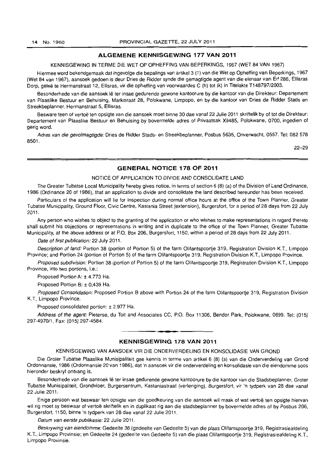### **ALGEMENE KENNISGEWING 177 VAN 2011**

KENNISGEWING IN TERME DIE WET OP OPHEFFING VAN BEPERKINGS, 1967 (WET 84 VAN 1967)

Hiermee word bekendgemaak dat ingevolge die bepalings van artikel 3 (1) van die Wet op Opheffing van Beperkings, 1967 (Wet 84 van 1967), aansoek gedoen is deur Dries de Ridder synde die gemagtigde agent van die eienaar van Erf 286, Ellisras Dorp, geleë te Hermanstraat 12, Ellisras, vir die opheffing van voorwaardes C (h) tot (k) in Titelakte T148797/2003.

Besonderhede van die aansoek lê ter insae gedurende gewone kantoorure by die kantoor van die Direkteur: Departement van Plaaslike Bestuur en Behuising, Markstraat 28, Polokwane, Limpopo, en by die kantoor van Dries de Ridder Stads en Streekbeplanner, Hermanstraat 5, Ellisras.

Besware teen of vertoë ten opsigte van die aansoek moet binne 30 dae vanaf 22 Julie 2011 skriftelik by of tot die Direkteur: Departement van Plaaslike Bestuur en Behuising by bovermelde adres of Privaatsak X9485, Polokwane, 0700, ingedien of gerig word.

Adres van die gevolmagtigde: Dries de Ridder Stads- en Streekbeplanner, Posbus 5635, Onverwacht, 0557. Tel: 082 578 8501.

22-29

### **GENERAL NOTICE 178 OF 2011**

### NOTICE OF APPLICATION TO DIVIDE AND CONSOLIDATE LAND

The Greater Tubatse Local Municipality hereby gives notice, in terms of section 6 (8) (a) of the Division of Land Ordinance, 1986 (Ordinance 20 of 1986), that an application to divide and consolidate the land described hereunder has been received.

Particulars of the application will lie for inspection during normal office hours at the office of the Town Planner, Greater Tubatse Municipality, Ground Floor, Civic Centre, Kastania Street (extension), Burgerslort, for a period of 28 days from 22 July 2011.

Any person who wishes to object to the granting of the application or who wishes to make representations in regard thereto shall submit his objections or representations in writing and in duplicate to the office of the Town Planner. Greater Tubatse Municipality, at the above address or at P.O. Box 206, Burgersfort, 1150, within a period of 28 days from 22 July 2011.

Date of first publication: 22 July 2011.

Description of land: Portion 38 (portion of Portion 5) of the farm Olifantspoortie 319, Registration Division K.T., Limpopo Province; and Portion 24 (portion of Portion 5) of the farm Olifantspoortie 319. Registration Division K.T., Limpopo Province.

Proposed subdivision: Portion 38 (portion of Portion 5) of the farm Olifantspoortie 319, Registration Division K.T., Limpopo Province, into two portions, i.e.:

Proposed Portion A: ± 4.773 Ha.

Proposed Portion B: ± 0,439 Ha.

Proposed Consolidation: Proposed Portion B above with Portion 24 of the farm Olifantspoortje 319, Registration Division K.T., Limpopo Province.

Proposed consolidated portion: ± 2.977 Ha.

Address of the agent: Pieterse, du Toit and Associates CC. P.O. Box 11306, Bendor Park, Polokwane, 0699. Tel: (015) 297-4970/1, Fax: (015) 297-4584.

### **- . KENNISGEWING 178 VAN 2011**

### KENNISGEWING VAN AANSOEK VIR DIE ONDERVERDELING EN KONSOLIDASIE VAN GROND

Die Groter Tubatse Plaaslike Munisipaliteit gee kennis in terme van artikel 6 (8) (a) van die Onderverdeling van Grond Ordonnansie, 1986 (Ordonnansie 20 van 1986), dat 'n aansoek vir die onderverdeling en konsolidasie van die eiendomme soos hieronder beskryf ontvang is.

Besonderhede van die aansoek lê ter insae gedurende gewone kantoorure by die kantoor van die Stadsbeplanner, Groter Tubatse Munisipaliteit, Grondvloer, Burgersentrum, Kastaniastraat (verlenging), Burgersfort, vir 'n tydperk van 28 dae vanaf 22 Julie 2011.

Enige persoon wat beswaar ten opsigte van die goedkeuring van die aansoek wil maak of wat vertoe ten opsigte hiervan wil rig moet sy beswaar of vertoë skriftelik en in duplikaat rig aan die stadsbeplanner by bovermelde adres of by Posbus 206, Burgersfort, 1150, binne 'n tydperk van 28 dae vanaf 22 Julie 2011.

Datum van eerste publikasie: 22 Julie 2011.

8eskrywing van eiendomme: Gedeelte 38 (gedeelte van Gedeelte 5) van die plaas Olifantspoortje 319, Registrasieafdeling K.T., Limpopo Provinsie; en Gedeelte 24 (gedeelte van Gedeelte 5) van die plaas Olifantspoortje 319, Registrasieafdeling K.T., Limpopo Provinsie.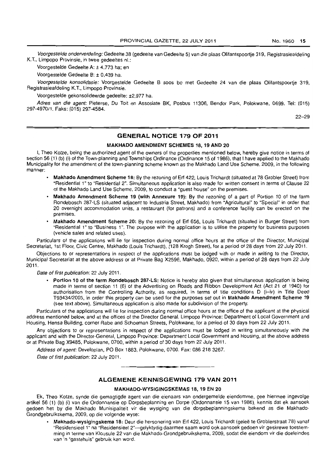Voorgestelde onderverdeling: Gedeelte 38 (gedeelte van Gedeelte 5) van die plaas Olifantspoortje 319, Registrasieafdeling K.T., Limpopo Provinsie, in twee gedeeltes nl.:

Voorgestelde Gedeelte A: ± 4.773 ha; en

Voorgestelde Gedeelte B: ± 0,439 ha.

Voorgestelde konsolidasie: Voorgestelde Gedeelte B soos bo met Gedeelte 24 van die plaas Olifantspoortje 319, Registrasieafdeling K.T., Limpopo Provinsie.

Voorgestelde gekonsolideerde gedeelte: ±2,977 ha.

Adres van die agent: Pieterse, Du Toit en Assosiate BK, Posbus 11306, Bendor Park, Polokwane, 0699. Tel: (015) 297-4970/1. Faks: (015) 297-4584.

22-29

### GENERAL NOTICE 179 OF 2011

### MAKHADO AMENDMENT SCHEMES 18, 19 AND 20

I, Thea Kotze, being the authorized agent of the owners of the properties mentioned below, hereby give notice in terms of section 56 (1) (b) (i) of the Town-planning and Townships Ordinance (Ordinance 15 of 1986), that I have applied to the Makhado Municipality for the amendment of the town-planning scheme known as the Makhado Land Use Scheme, 2009, in the following manner:

- Makhado Amendment Scheme 18: By the rezoning of Erf 422, Louis Trichardt (situated at 78 Grobler Street) from "Residential 1" to "Residential 2". Simultaneous application is also made for written consent in terms of Clause 22 of the Makhado Land Use Scheme, 2009, to conduct a "guest house" on the premises.
- Makhado Amendment Scheme 19 (with Annexure 19): By the rezoning of a part of Portion 10 of the farm Rondebosch 287-LS (situated adjacent to Industria Street, Makhado) from "Agricultural" to "Special" in order that 20 overnight accommodation units, a restaurant (for patrons) and a conference facility can be erected on the premises.
- Makhado Amendment Scheme 20: By the rezoning of Erf 656, Louis Trichardt (situated in Burger Street) from "Residential 1" to "Business 1". The purpose with the application is to utilise the property for business purposes (vehicle sales and related uses).

Particulars of the applications wilt lie for inspection during normal office hours at the office of the Director, Municipal Secretariat, 1st Floor, Civic Centre, Makhado (Louis Trichardt), (128 Krogh Street), for a period of 28 days from 22 July 2011.

Objections to or representations in respect of the applications must be lodged with or made in writing to the Director, Municipal Secretariat at the above address or at Private Bag X2596, Makhado, 0920, within a period of 28 days from 22 July 2011.

Date of first publication: 22 July 2011.

• Portion 10 of the farm Rondebosch 287-LS: Notice is hereby also given that simultaneous application is being made in terms of section 11 (6) of the Advertising on Roads and Ribbon Development Act (Act 21 of 1940) for authorisation from the Controlling Authority, as required. in terms of title conditions D (i-iv) in Title Deed *T93434/2005,* in order this property can be used for the purposes set out in Makhado Amendment Scheme 19 (see text above). Simultaneous application is also made for subdivision of the property.

Particulars of the applications will lie for inspection during normal office hours at the office of the applicant at the physical address mentioned below, and at the offices of the Director General, Limpopo Province: Department of Local Government and Housing, Hensa Building, corner Rabe and Schoeman Streets, Polokwane, for a period of 30 days from 22 July 2011.

Any objections to or representations in respect of the applications must be lodged in writing simultaneously with the applicant and with the Director-General, Limpopo Province: Department Local Government and Housing, at the above address or at Private Bag X9485, Polokwane, 0700, within a period of 30 days from 22 July 2011.

Address of agent: Developlan, PO Box 1883, Polokwane, 0700. Fax: 086 218 3267.

Date of first publication: 22 July 2011.

### ALGEMENE KENNISGEWING 179 VAN 2011

**• •** 

#### MAKHADO-WYSIGINGSKEMAS 18, 19 EN 20

Ek, Theo Kotze, synde die gemagtigde agent van die eienaars van ondergemelde eiendomme, gee hiermee ingevolge artikel 56 (1) (b) (i) van die Ordonnansie op Dorpsbeplanning en Dorpe (Ordonnansie 15 van 1986), kennis dat ek aansoek gedoen het by die Makhado Munisipaliteit vir die wysiging van die dorpsbeplanningskema bekend as die Makhado-Grondgebruikskema, 2009, op die volgende wyse:

• Makhado-wysigingskema 18: Deur die hersonering van Erf 422, Louis Trichardt (gelee te Groblerstraat 78) vanal "Residensieel 1" na "Residensieel 2"-gelyktydig daarmee saam word ook aansoek gedoen vir geskrewe toestemming in terme van Klousule 22 van die Makhado-Grondgebruikskema, 2009, sodat die eiendom vir die doeleindes van 'n "gastehuis" gebruik kan word.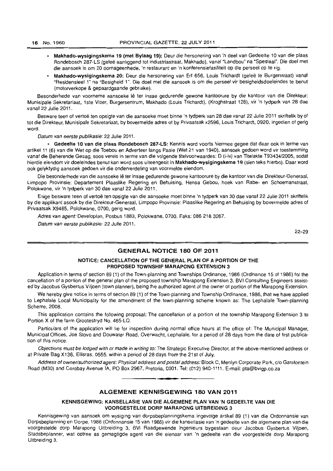- Makhado-wysigingskema 19 (met Bylaag 19): Deur die hersonering van 'n dee I van Gedeelte 10 van die plaas Rondebosch 287-LS (geleë aanliggend tot Industriastraat, Makhado), vanaf "Landbou" na "Spesiaal". Die doel met die aansoek is om 20 oornageenhede, 'n restaurant en 'n konferensiefasiliteit op die perseel op te rig.
- Makhado-wysigingskema 20: Deur die hersonering van Erf 656, Louis Trichardt (gelee te Burgerstraat) vanaf "Residensieel 1" na "Besigheid 1". Die doel met die aansoek is om die perseel vir besigheidsdoeleindes te benut (motorverkope & gepaardgaande gebruike).

Besonderhede van voorneme aansoeke lê ter insae gedurende gewone kantoorure by die kantoor van die Direkteur: Munisipale Sekretariaat, 1ste Vloer, Burgersentrum, Makhado (Louis Trichardt), (Kroghstraat 128), vir 'n tydperk van 28 dae vanaf 22 Julie 2011.

Besware teen of vertoë ten opsigte van die aansoeke moet binne 'n tydperk van 28 dae vanaf 22 Julie 2011 skriftelik by of tot die Direkteur, Munisipale Sekretariaat, by bovermelde adres of by Privaatsak x2596, Louis Trichardt, 0920, ingedien of gerig word.

Datum van eerste publikasie: 22 Julie 2011.

• Gedeelte 10 van die plaas Rondebosch 287-LS: Kennis word voorts hiermee gegee dat daar ook in terme van artikel 11 (6) van die Wet op die Toebou en Adverteer langs Paaie (Wet 21 van 1940), aansoek gedoen word vir toestemming vanaf die Beherende Gesag, soos vereis in terme van die volgende titelvoorwaardes: 0 (i-iv) van Titelakte T93434/2005, sodat hierdie eiendom vir doeleindes benut kan word soos uiteengesit in Makhado-wysigingskema 19 (sien leks hierbo). Daar word ook gelyktydig aansoek gedoen vir die onderverdeling van voormelde eiendom.

Die besonderhede van die aansoeke lê ter insae gedurende gewone kantoorure by die kantoor van die Direkteur-Generaal, Limpopo Provinsie: Departement Plaaslike Regering en Behuising, Hensa Gebou, hoek van Rabe- en Schoemanslraat, Polokwane, vir 'n tydperk van 30 dae vanaf 22 Julie 2011.

Enige besware teen of vertoë ten opsigte van die aansoeke moet binne 'n tydperk van 30 dae vanaf 22 Julie 2011 skriftelik by die applikant asook by die Direkleur-Generaal, Limpopo Provinsie: Plaaslike Regering en Behuising by bovermelde adres of Privaatsak X9485, Polokwane, 0700, gerig word.

Adres van agent: Developlan, Posbus 1883, Polokwane, 0700. Faks: 086 218 3267.

Datum van eerste publikasie: 22 Julie 2011.

22-29

### GENERAL NOTICE 180 OF 2011

### NOTICE: CANCELLATION OF THE GENERAL PLAN OF A PORTION OF THE PROPOSED TOWNSHIP MARAPONG EXTENSION 3

Application in terms of section 89 (1) of the Town-planning and Townships Ordinance, 1986 (Ordinance 15 of 1986) for the cancellation 01 a portion of the general plan of the proposed township Marapong Extension 3. BVI Consulting Engineers assisted by Jacobus Gysbertus Viljoen (town planner). being the authorized agent of the owner of portion of the Marapong Extension.

We hereby give notice in terms of section 89 (1) of the Town-planning and Township Ordinance, 1986, that we have applied to Lephalale Local Municipality for the amendment of the town-planning scheme known as: The Lephalale Town-planning Scheme, 2008.

This application contains the following proposal: The cancellation of a portion of the township Marapong Extension 3 to Portion X of the farm Grootestryd No. 465-LQ.

Particulars of the application will lie for inspection during normal office hours at the office of: The Municipal Manager, Municipal Offices, Joe Siovo and Douwater Road, Overwacht, Lephalale, for a period of 28 days from the date of first publication of this notice.

Objections must be lodged with or made in writing to: The Strategic Executive Director, at the above-mentioned address or at Private Bag X136. Ellisras, 0555, within a period of 28 days from the 21 st of July.

Address of owner/authorized agent: Physical address and postal address: Block C, Menlyn Corporate Park, c/o Garsfontein Road (M30) and Corobay Avenue lA, PO Box 2967, Pretoria, 0001. Tel: (012) 940-1111. E-mail: pta@bvigp.co.za . **- .** 

### ALGEMENE KENNISGEWING 180 VAN 2011

KENNISGEWING: KANSELLASIE VAN DIE ALGEMENE PLAN VAN 'N GEDEELTE VAN DIE VOORGESTELDE DORP MARAPONG UITBREIDING 3

Kennisgewing van aansoek om wysiging van dorpsbeplanningskema ingevolge artikel 89 (1) van die Ordonnansie van Dorpsbeplanning en Dorpe, 1986 (Ordonnansie 15 van 1986) vir die kansellasie van 'n gedeelte van die algemene plan van die voorgestelde dorp Marapong Uitbreiding 3, BVi Raadgewende Ingenieurs bygestaan deur Jacobus Gysbertus Viljoen, Siadsbeplanner, wat optree as gemagtigde agent van die eienaar van 'n gedeelte van die voorgestelde dorp Marapong Uitbreiding 3.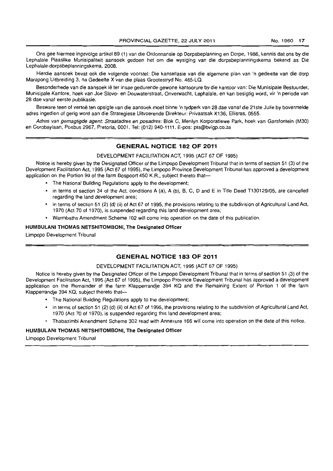Ons gee hiermee ingevolge artikel 89 (1) van die Ordonnansie op Dorpsbeplanning en Dorpe. 1986. kennis dat ons by die Lephalale Plaaslike Munisipaliteit aansoek gedoen het om die wysiging van die dorpsbeplanningskema bekend as Die Lephalale-dorpsbeplanningskema. 2008.

Hierdie aansoek beval ook die volgende voorstel: Die kansellasie van die algemene plan van 'n gedeelte van die dorp Marapong Uitbreiding 3, na Gedeelte X van die plaas Grootestryd No. 465-LQ.

Besonderhede van die aansoek lê ter insae gedurende gewone kantoorure by die kantoor van: Die Munisipale Bestuurder, Munisipale Kantore, hoek van Joe Siovo- en Douwaterstraat, Onverwacht, Lephalale, en kan besigtig word, vir 'n periode van 28 dae vanaf eerste publikasie.

Besware teen of vertoë ten opsigte van die aansoek moet binne 'n tydperk van 28 dae vanaf die 21ste Julie by bovermelde adres ingedien of gerig word aan die Strategiese Uitvoerende Direkteur: Privaatsak X136, Ellisras, 0555.

Adres van gemagtigde agent: Straatadres en posadres: Blok C. Menlyn Korporatiewe Park, hoek van Garsfontein (M30) en Corobaylaan. Posbus 2967, Pretoria, 0001. Tel: (012) 940-1111. E-pos: pta@bvigp.co.za

### **GENERAL NOTICE 182 OF 2011**

### DEVELOPMENT FACILITATION ACT, 1995 (ACT 67 OF 1995)

Notice is hereby given by the Designated Officer of the Limpopo Development Tribunal that in terms of section 51 (3) of the Development Facilitation Act, 1995 (Act 67 of 1995), the Limpopo Province Development Tribunal has approved a development application on the Portion 99 of the farm Bospoort 450 K.R., subject thereto thal-

- The National Building Regulations apply to the development;
- in terms of section 34 of the Act, conditions A (a), A (b), B, C, D and E in Title Deed T130129/05, are cancelled regarding the land development area;
- in terms of section 51 (2) (d) (ii) of Act 67 of 1995, the provisions relating to the subdivision 01 Agricultural Land Act, 1970 (Act 70 of 1970). is suspended regarding this land development area;
- Warm baths Amendment Scheme 102 will come into operation on the date of this publication.

### HUMBULANI THOMAS NETSHITOMBONI, The Designated Officer

Limpopo Development Tribunal

### **GENERAL NOTICE 183 OF 2011**

### DEVELOPMENT FACILITATION ACT. 1995 (ACT 67 OF 1995)

Notice is hereby given by the Designated Officer of the Limpopo Development Tribunal that in terms of section 51 (3) ot the Development Facilitation Act, 1995 (Act 67 of 1995). the Limpopo Province Development Tribunal has approved a development application on the Remainder of the farm Klapperrandje 394 KQ and the Remaining Extent of Portion 1 of the farm Klapperrandje 394 KQ, subject thereto that-

- The National Building Regulations apply to the development;
- in terms of section 51 (2) (d) (ii) of Act 67 ot 1995, the provisions relating to the subdivision of Agricultural Land Act. 1970 (Act 70 of 1970), is suspended regarding this land development area;
- Thabazimbi Amendment Scheme 302 read with Annexure 166 will come into operation on the date of this notice.

#### HUMBULANI THOMAS NETSHITOMBONI, The Designated Officer

Limpopo Development Tribunal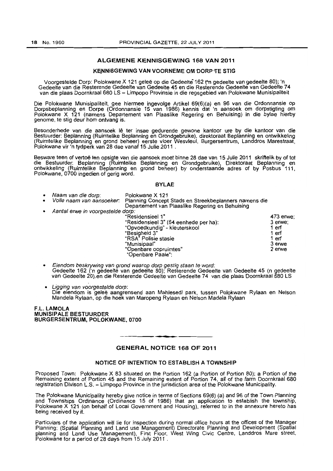### ALGEMENE KENNISGEWING 168 VAN 2011

### KENNISGEWING VAN VOORNEME OM DORP TE STIG

Voorgestelde Dorp: Polokwane X 121 gelee op die Gedeelte-162 rn gedeelte van gedeelte 80); 'n Gedeelte van die Resterende Gedeelte van Gedeelte 45 en die Resterende Gedeelte van Gedeelte 74 van die plaas Doornkraal 680 LS - Limpopo Provinsie in die regsgebied van Polokwane Munisipaliteit

Die Polokwane Munisipaliteit, gee hiermee ingevolge Artikel 69(6)(a) en 96 van die Ordonnansie op Dorpsbeplanning en Dorpe (Ordonnansie 15 van 1986) kennis dat "n aansoek om dorpstigting om Polokwane X 121 (namens Departement van PlaasJike Regering en Behuising) in die bylae hierby genome, te stig deur hom ontvang is,

Besonderhede van die aansoek lê ter insae gedurende gewone kantoor ure by die kantoor van die Bestuurder: Beplanning (Ruimtelike Beplanning en Grondgebruike), direktoraat Beplanning en ontwikkeling (Ruimtelike Beplanning en grond beheer) eerste vloer Wesvleul, Burgersentrum. Landdros Marestraat, Polokwane vir 'n tydperk van 28 dae vanaf 15 Julie 2011 .

Besware teen of vertoe ten opsigte van die aansoek moet binne 28 dae van 15 Julie 2011 skriftelik by of tot die Bestuurder: Beplanning (Ruimtelike Beplanning en Grondgebruike), Direktoraat Beplanning en ontwikkeling (Ruimtelike Beplanning en grond beheer) by onderstaande adres of by Posbus 111, Polokwane, 0700 ingedien of gerig word.

#### BYLAE

| $\bullet$ | Naam van die dorp:                | Polokwane X 121                                       |           |
|-----------|-----------------------------------|-------------------------------------------------------|-----------|
| $\bullet$ | Volle naam van aansoeker.         | Planning Concept Stads en Streekbeplanners namens die |           |
|           |                                   | Departement van Plaaslike Regering en Behuising       |           |
| $\bullet$ | Aantal erwe in voorgestelde dorp: |                                                       |           |
|           |                                   | "Residensieel 1"                                      | 473 erwe; |
|           |                                   | "Residensieel 3" (64 eenhede per ha):                 | 3 erwe:   |
|           |                                   | "Opvoedkundig" - kleuterskool                         | 1 erf     |
|           |                                   | "Besigheid 3"                                         | 1 erf     |
|           |                                   | "RSA" Polisie stasie                                  | 1 erf     |
|           |                                   | "Munisipaal"                                          | 3 erwe    |
|           |                                   | "Openbare oopruimtes"                                 | 2 erwe    |
|           |                                   | "Openbare Paaie":                                     |           |

Eiendom beskrywing van grond waarop dorp gestig staan te word: Gedeelte 162 ('n gedeelte van gedeelte 80); Resterende Gedeelte van Gedeelte 45 (n gedeelte van Gedeelte 20),en die Resterende Gedeelte van Gedeelte 74 van die plaas Doornkraal 680 LS

Ligging van voorgestelde dorp: Die eiendom is gelee aangrensend aan Mahlesedi park, tussen Polokwane Rylaan en Nelson Mandela Rylaan. op die hoek van Maropeng Rylaan en Nelson Madela Rylaan

F.L. LAMOLA MUNISIPALE BESTUURDER BURGERSENTRUM, POLOKWANE, 0700

### GENERAL NOTICE 168 OF 2011

**1\_.** 

#### NOTICE OF INTENTION TO ESTABLISH A TOWNSHIP

Proposed Town: Polokwane X 83 situated on the Portion 162 (a Portion of Portion 80); a Portion of the Remaining extent of Portion 45 and the Remaining extent of Portion 74, all of the farm Doornkraal 680 registration Divison L.S. - Limpopo Province in the jurisdiction area of the Polokwane Municipality.

The Polokwane Municipality hereby give notice in terms of Sections 69(6) (a) and 96 of the Town Planning and Townships Ordinance (Ordinance 15 of 1986) that an application to establish the township. Polokwane X 121 (on behalf of Local Government and Housing), referred to in the annexure hereto has being received by it.

Particulars of the application will lie for inspection during normal office hours at the offices of the Manager Planning: (Spatial Planning and Land use Management) Directorate Planning and Development (Spatial planning and Land Use Management), First Floor. West Wing Civic Centre, Landdros Mare street, Polokwane for a period of 28 days from 15 July 2011 .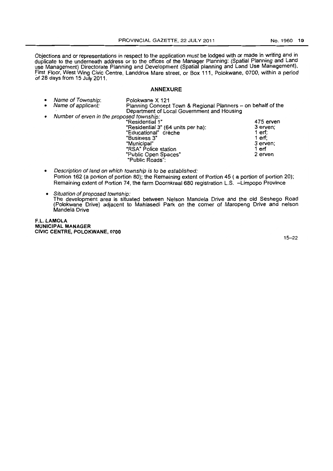Objections and or representations in respect to the application must be lodged with or made in writing and in duplicate to the underneath address or to the offices of the Manager Planning: (Spatial Planning and Land use Management) Directorate Planning and Development (Spatial planning and Land Use Management), first Floor, West Wing Civic Centre, Landdros Mare street, or Box 111, Polokwane. 0700, within a period of 28 days from 15 July 2011.

### ANNEXURE

- Name of Township: Polokwane X 121 Planning Concept Town & Regional Planners - on behalf of the . Department of Local Government and Housing France of erven in the proposed township:<br>"Residential 1" 475 erven" (Residential 1" 475 erven" (Residential 3" (64 units per ha): "Residential 3" (64 units per ha): 3 erven;"<br>"Educational" crèche "Educational" crèche 1 erf; "Business 3" 1 erf; "Municipal" 3 erven;<br>"RSA" Police station 3 and 3 erven; "RSA" Police station 1 erf<br>"Public Open Spaces" 2 erven "Public Open Spaces" "Public Roads":
	- Description of land on which township is to be established: Portion 162 (a portion of portion 80); the Remaining extent of Portion 45 ( a portion of portion 20); Remaining extent of Portion 74. the farm Doornkraal680 registration L.S. -Limpopo Province
	- Situation of proposed township: The development area is situated between Nelson Mandela Drive and the old Seshego Road (Polokwane Drive) adjacent to Mahlasedi Park on the comer of Maropeng Drive and nelson Mandela Drive

F.L. LAMOLA MUNICIPAL MANAGER CIVIC CENTRE, POLOKWANE, 0700

15-22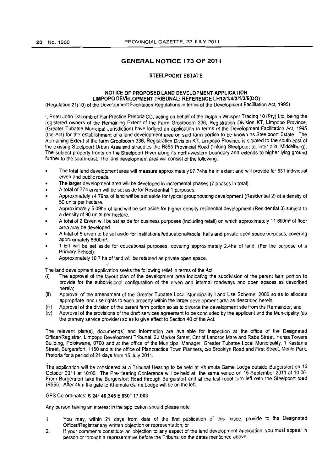### **GENERAL NOTICE 173 OF 2011**

#### STEELPOORT ESTATE

### NOTICE OF PROPOSED LAND DEVELOPMENT APPLICATION LIMPOPO DEVELOPMENT TRIBUNAL: REFERENCE LH121114/3/1/316(DO)

(Regulation 21(10) of the Development Facilitation Regulations in terms of the Development Facilitation Act. 1995)

I. Peter John Dacomb of Plan Practice Pretoria CC. acting on behalf of the Dolphin Whisper Trading 10 (pty) Ltd. being the registered owners of the Remaining Extent of the Farm Grootboom 336. Registration Division KT. Limpopo Province, (Greater Tubatse Municipal Jurisdiction) have lodged an application in terms of the Development Facilitation Act. 1995 (the Act) for the establishment of a land development area on said farm portion to be known as Steelpoort Estate. The Remaining Extent of the farm Grootboom 336, Registration Division KT, Limpopo Province is situated to the south-east of the existing Steelpoort Urban Area and straddles the R555 Provincial Road (linking Steelpoort to, inter alia, Middelburg). The subject property fronts on the Steelpoort River along its north-western boundary and extends to higher lying ground further to the south-east. The land development area will consist of the following:

- The total land development area will measure approximately 97.74ha ha in extent and will provide for 831 individual erven and public roads.
- The larger development area will be developed in incremental phases (7 phases in total).
- A total of 774 erven will be set aside for Residential 1 purposes.
- Approximately 14.79ha of land will be set aside for typical grouphousing development (Residential 2) at a density of 50 units per hectare.
- Approximately 5.09ha of land will be set aside for higher density residential development (Residential 3) subject to a density of 90 units per hectare.
- A total of 2 Erven will be set aside for business purposes (including retail) on which approximately 11 600m2 of floor area may be developed.
- A total of 5 erven to be set aside for Institutional/educational/social halls and private open space purposes, covering approximately 8600m'.
- 1 Erf will be set aside for educational purposes, covering approximately 2.4ha of land. (For the purpose of a Primary School).
- Approximately 10.7 ha of land will be retained as private open space.

The land development application seeks the following relief in terms of the Act:

- $(i)$  The approval of the layout plan of the development area indicating the subdivision of the parent farm portion to provide for the subdivisional configuration of the erven and internal roadways and open spaces as described herein;
- (ii) Approval of the amendment of the Greater Tubatse Local Municipality land Use Scheme, 2006 so as to allocate appropriate land use rights to each property within the larger development area as described herein;
- [iii) Approval of the division of the parent farm portion so as to divorce the development site from the Remainder; and
- (iv) Approval of the provisions of the draft services agreement to be concluded by the applicant and the Municipality (as the primary service provider) so as to give effect to Section 40 of the Act.

The relevant plan(s), document(s) and information are available for inspection at the office of the Designated Officer/Registrar, Limpopo Development Tribunal, 23 Market Street, Cnr of Landros Mare and Rabe Street, Hensa Towers Building, Polokwane, 0700 and at the office of the Municipal Manager, Greater Tubatse Local Municipality, 1 Kastania Street, Burgersfort, 1150 and at the office of Plan practice Town Planners, c/o Brooklyn Road and First Street, Menlo Park, Pretoria for a period of 21 days from 15 July 2011.

The application will be considered at a Tribunal Hearing to be held at Khumula Game Lodge outside Burgersfort on 13 October 2011 at 10:00. The Pre-Hearing Conference will be held at the same venue on 15 September 2011 at 10:00. From Burgersfort take the Burgersfort Road through Burgersfort and at the last robot turn left onto the Steelpoort road (R555). After 4km the gate to Khumula Game Lodge will be on the left.

### GPS Co-ordinates: S 24° 40.345 E 030° 17.003

Any person having an interest in the application should please note:

- 1. You may, within 21 days from date of the first publication of this notice, provide to the Designated Officer/Registrar any written objection or representation; or
- 2. If your comments constitute an objection to any aspect of the land development application, you must appear in person or through a representative before the Tribunal on the dates mentioned above.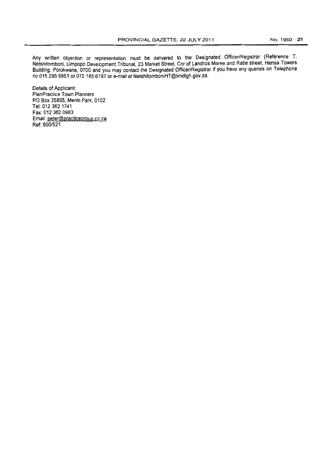Any written objection or representation must be delivered to the Designated Officer/Registrar (Reference T. Netshitomboni, Limpopo Development Tribunal, 23 Market Street, Cnr of Landros Maree and Rabe street, Hensa Towers Building. Polokwane, 0700 and you may contact the Designated Officer/Registrar if you have any queries on Telephone no 015 295 6851 or 072 185 6197 or e-mail at NetshitomboniHT@limdlgh.gov.za.

Details of Applicant: PlanPractice Town Planners PO Box 35895, Menlo Park, 0102 Tel: 012 362 1741 Fax: 012 362 0983 Email: peter@practicegroup.co.za Ref: 600/521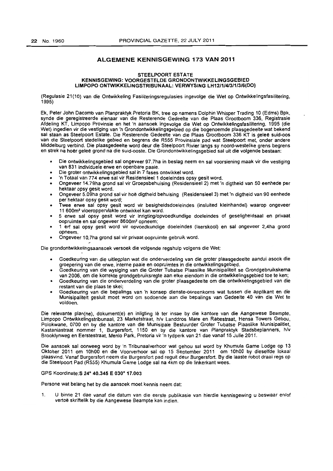### ALGEMENE KENNISGEWING 173 VAN 2011

#### STEELPOORT ESTATE KENNISGEWING: VOORGESTELDE GRONDONTWIKKELINGSGEBIED LIMPOPO ONTWIKKELINGSTRIBUNAAL: VERWYSING LH12/1/413/1/3/6(DO)

(Regulasie 21(10) van die Ontwikkeling Fasiliteringsregulasies ingevolge die Wet op Ontwikkelingsfasilitering, 1995)

Ek, Peter John Dacomb van Planpraktyk Pretoria BK, tree op namens Dolphin Whisper Trading 10 (Edms) Bpk, synde die geregistreerde eienaar van die Resterende Gedeelte van die Plaas Grootboom 336, Registrasie Afdeling KT, Limpopo Provinsie en het 'n aansoek ingevolge die Wet op Ontwikkelingsfasilitering, 1995 (die Wet) ingedien vir die vestiging van 'n Grondontwikkelingsgebied op die bogenoemde plaasgedeelte wat bekend sal staan as Steelpoort Estate. Die Resterende Gedeelte van die Plaas Grootboom 336 KT is geleë suid-oos van die Steelpoort stedelike gebied en begrens die R555 Provinsiale pad wat Steelpoort met. onder andere Middelburg verbind. Die plaasgedeelte word deur die Steelpoort Rivier langs sy noord-westelike grens begrens en strek na hoër geleë grond na die suid-ooste. Die Grondontwikkelingsgebied sal uit die volgende bestaan:

- Die ontwikkelingsgebied sal ongeveer 97.7ha in beslag neem en sal voorsiening maak vir die vestiging van 831 individuele erwe en openbare paaie.
- Die groter ontwikkelingsgebied sal in 7 fases ontwikkel word.
- 'n Totaal van 774 erwe sal vir Residensieel 1 doeleindes opsy gesit word.
- Ongeveer 14.79ha grond sal vir Groepsbehuising (Residensieel 2) met 'n digtheid van 50 eenhede per hektaar opsy gesit word.
- Ongeveer 5.09ha grond sal vir hoë digtheid behuising (Residensieel 3) met 'n digtheid van 90 eenhede per hektaar opsy gesit word;
- Twee erwe sal opsy gesit word vir besigheidsdoeleindes (insluited kleinhandel) waarop ongeveer 11 600m2 vloeroppervlakte ontwikkel kan word.
- 5 erwe sal opsy gesit word vir inrigting/opvoedkundige doeleindes of geseligheidsaal en privaat oopruimte en sal ongeveer 8600m<sup>2</sup>opneem;
- 1 erf sal opsy gesit word vir opvoedkundige doeleindes (laerskool) en sal ongeveer 2,4ha grond opneem.
- Ongeveer 10,7ha grond sal vir privaat oopruimte gebruik word.

Die grondontwikkelingsaansoek versoek die volgende regshulp valgens die Wet:

- Goedkeuiing van die uitlegplan wat die onderverdeling van die groter plaasgedeelte aandui asoak die groepering van die erwe, interne paaie en oopruimtes in die ontwikkelingsgebied.
- Goedkeuring van die wysiging van die Groter Tubatse Plaaslike Munisipaliteit se Grondgebruikskema van 2006, om die karrekte grondgebruiksregte aan elke eiendom in die ontwikkelingsgebied toe te ken;
- Goedkeuring van die onderverdeling van die groter plaasgedeelte om die ontwikkelingsgebied van die restant van die plaas te skei;
- Goedkeuring van die bepalings van 'n konsep dienste-ooreenkoms wat tussen die applikant en die Munisipaliteit gesluit moet word om sodoende aan die bepalings van Gedeelte 40 van die Wet te voldoen.

Die relevante plan(ne), dokument(e) en inligting lê ter insae by die kantore van die Aangewese Beampte, Limpopo Ontwikkelingstribunaal, 23 Marketstraat, hlv Landdros Mare en Rabestraat, Hensa Towers Gebou, Polokwane, 0700 en by die kantore van die Munisipale Bestuurder Groter Tubatse Plaaslike Munisipalitiet, Kastaniastraat nom mer 1, Burgersfort, 1150 en by die kantore van Planpraktyk Stadsbeplanners, h/v 8rooklynweg en Eerstestraat, Menlo Park, Pretoria vir 'n tydperk van 21 dae vanaf 15 Julie 2011.

Die aansoek sal oorweeg word by 'n Tribunaalverhaor wat gehou sal word by Khumula Game Lodge op 13 Oktober 2011 om 10hOO en die Voorverhoor salop 15 September 2011 om 10hOO by dieselfde lokaal plaasvind. Vanaf Burgersfort neem die Burgersfort pad reguit deur Burgersfort. By die laaste robot draai regs op die Steelpoort Pad (R555) Khumula Game Lodge sal na 4km op die linkerkant wees.

#### GPS Koordinate: S 24° 40.345 E 030° 17,003

Persone wat belang het by die aansoek moet kennis neem dat:

1. U binne 21 dae vanaf die datum van die eerste publikasie van hierdie kennisgewing u beswaar en/of vertoë skriftelik by die Aangewese Beampte kan indien.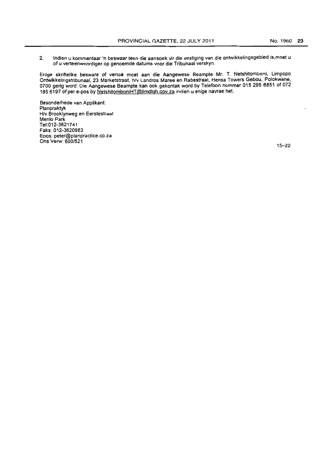2. Indien u kommentaar 'n beswaar teen die aansoek vir die vestiging van die ontwikkelingsgebied is,moet u of u verteenwoordiger op genoemde datums voor die Tribunaal verskyn.

Enige skriftelike besware of vertoe moet aan die Aangewese Beampte Mr. T. Netshitomboni, Limpopo Ontwikkelingstribunaal, 23 Marketstraat, h/v Landros Maree en Rabestraat, Hensa Towers Gebou, Polokwane, 0700 gerig word. Die Aangewese Beampte kan ook gekontak word by Telefoon nommer 015 295 6851 of 072 185 6197 of per e-pos by NetshitomboniHT@limdlgh.gov.za indien u enige navrae het.

Besonderhede van Applikant: Planpraktyk HIv Brooklynweg en Eerstestraat Menlo Park Te1:012-3621741 Faks:012-3620983 Epos: peter@planpractice.co.za Ons Verw: 600/521

15-22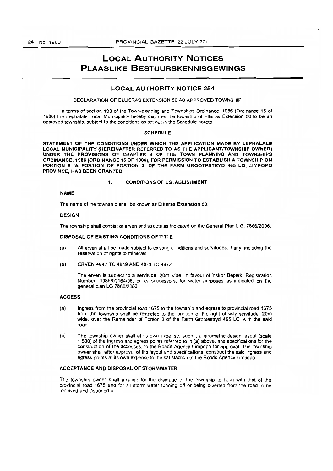# **LOCAL AUTHORITY NOTICES PLAASLIKE BESTUURSKENNISGEWINGS**

### LOCAL AUTHORITY NOTICE 254

#### DECLARATION OF ELLISRAS EXTENSION 50 AS APPROVED TOWNSHIP

In terms of section 103 of the Town-planning and Townships Ordinance, 1986 (Ordinance 15 of 1986) the Lephalale Local Municipality hereby declares the township of Ellisras Extension 50 to be an approved township, subject to the conditions as set out in the Schedule hereto.

#### SCHEDULE

STATEMENT OF THE CONDITIONS UNDER WHICH THE APPLICATION MADE BY LEPHALALE LOCAL MUNICIPALITY (HEREINAFTER REFERRED TO AS THE APPLICANTITOWNSHIP OWNER) UNDER THE PROVISIONS OF CHAPTER 4 OF THE TOWN PLANNING AND TOWNSHIPS ORDINANCE,1986 (ORDINANCE 15 OF 1986), FOR PERMISSION TO ESTABLISH A TOWNSHIP ON PORTION 5 (A PORTION OF PORTION 3) OF THE FARM GROOTESTRYD 465 LQ, LIMPOPO PROVINCE, HAS BEEN GRANTED

#### 1. CONDITIONS OF ESTABLISHMENT

#### NAME

The name of the township shall be known as Ellisras Extension 50.

#### DESIGN

The township shall consist of erven and streets as indicated on the General Plan L.G. 7886/2006.

#### DISPOSAL OF EXISTING CONDITIONS OF TITLE

- (a) All erven shall be made subject to existing conditions and servitudes. if any. including the reservation of rights to minerals.
- (b) ERVEN 4847 TO 4849 AND 4870 TO 4872

The erven is subject to a servitude. 20m wide, in favour of Yskor 8eperk, Registration Number: 1989/02164/06. or its successors, for water purposes as indicated on the general plan LG *7886/2006* 

#### ACCESS

- (a) Ingress from the provincial road 1675 to the township and egress to provincial road 1675 from the township shall be restncted to the junction of the right of way servitude. 20m wide, over the Remainder of Portion 3 of the Farm Grootestryd 465 LQ. with the said road.
- (b) The township owner shall at its own expense, submit a geometric design layout (scale 1 :500) of the ingress and egress points referred to in (a) above. and specifications for the construction of the accesses, to the Roads Agency Limpopo for approval. The township owner shall after approval of the layout and specifications, construct the said ingress and egress points at its own expense to the satisfaction of the Roads Agency Limpopo.

### ACCEPTANCE AND DISPOSAL OF STORMWATER

The township owner shall arrange for the drainage of the township to fit in with that of the provincial road 1675 and for all storm water running off or being diverted from the road to be received and disposed of.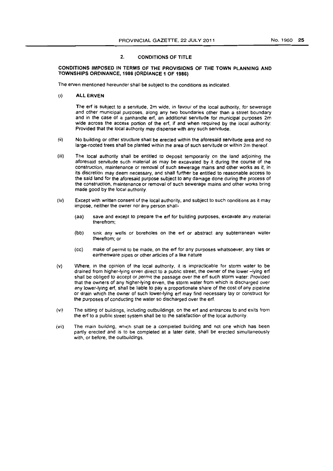### 2. CONDITIONS OF TITLE

#### CONDITIONS IMPOSED IN TERMS OF THE PROVISIONS OF THE TOWN PLANNING AND TOWNSHIPS ORDINANCE, 1986 (ORDIANCE 1 OF 1986,

The erven mentioned hereunder shall be subject to the conditions as indicated.

(I) ALL ERVEN

The erf is subject to a servitude, 2m wide, in favour of the local authority, for sewerage and other municipal purposes. along any two boundaries other than a street boundary and in the case of a panhandle erf. an additional servitude for municipal purposes 2m wide across the access portion of the erf, if and when required by the local authority: Provided that the local authority may dispense with any such servitude.

- (ii) No building or other structure shall be erected within the aforesaid servitude area and no large-rooted trees shall be planted within the area of such servitude or within 2m thereof.
- (iii) The local authority shall be entitled to deposit temporarily on the land adjoining the aforesaid servitude such material as may be excavated by it during the course of the construction, maintenance or removal of such sewerage mains and other works as it, in its discretion may deem necessary, and shall further be entitled to reasonable access to the said land for the aforesaid purpose subject to any damage done during the process of the construction, maintenance or removal of such sewerage mains and other works bring made good by the local authority.
- (iv) Except with written consent of the local authority, and subject to such conditions as it may impose. neither the owner nor any person shall-
	- (aa) save and except to prepare the erf for building purposes, excavate any material therefrom;
	- (bb) sink any wells or boreholes on the erf or abstract any subterranean water therefrom; or
	- (cc) make of permit to be made, on the erf for any purposes whatsoever, any tiles or earthenware pipes or other articles of a like nature
- (v) Where, in the opinion of the local authority, it is impracticable for storm water to be drained from higher-lying erven direct to a public street. the owner of the lower -lying erf shall be obliged to accept or permit the passage over the ert such storm water: Provided that the owners of any higher-lying erven, the storm water from which is discharged over any lower-lying erf, shall be liable to pay a proportionate share of the cost of any pipeline or drain which the owner of such lower-lying ert may find necessary lay or construct for the purposes of conducting the water so discharged over the erf.
- (vi) The sitting of buildings, including outbuildings, on the erf and entrances to and exits from the erf to a public street system shall be to the satisfaction of the local authority.
- (vii) The main building, which shall be a completed building and not one which has been partly erected and is to be completed at a later date, shall be erected simultaneously with, or before. the outbuildings.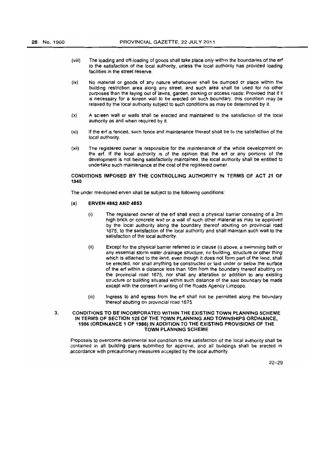- (viii) The loading and off.loading of goods shall take place only within the boundaries of the ert to the satisfaction of the local authority, unless the local authority has provided loading facilities in the street reserve.
- (ix) No malerial or goods of any nature whatsoever shall be dumped or place within the building restriction area along any street, and such area shall be used for no other purposes than the laying out of lawns. garden, parking or access roads: Provided that if it is necessary for a screen wall to be erected on such boundary. this condition may be relaxed by the local authority subject to such conditions as may be determined by it
- (x) A screen wall or walls shalf be erected and maintained to the satisfaction of the local authority as and when required by it.
- (xi) If the erf is fenced, such fence and maintenance thereof shall be to the satisfaction of the local authority.
- (xii) The registered owner is responsible for the maintenance of the whole development on the erf. If the local authority is of the opinion that the erf or any portions of the development is not being satisfactorily maintained. the local authority shall be entitled to undertake such maintenance at the cost of the registered owner.

### CONDITIONS IMPOSED BY THE CONTROLLING AUTHORITY IN TERMS OF ACT 21 OF 1940

The under mentioned erven shall be subject to the following conditions:

#### (a) ERVEN 4852 AND 4853

- (i) The registered owner of the ert shall erect a physical barrier consisting of a 2m high brick or concrete wall or a wall of such other material as may be approved by the local authority along the boundary thereof abutting on provincial road 1675. to the satisfaction of the local authority and shall maintain such wall to the satisfaction of the local authority.
- (ii) Except for the physical barrier referred to in clause (i) above, a swimming bath or any essential storm waler drainage structure. no building. structure or other thing which is attached to the land, even though it does not form part of the land, shall be erected, nor shall anything be constructed or laid under or below the surtace of the ert within a distance less than 16m from the boundary thereof abutting on the provincial road 1675. nor shall any alteration or addition to any existing structure or building situated within such distance of the said boundary be made except with the consent in writing of the Roads Agency Limpopo.
- (iii) Ingress to and egress from the ert shalt not be permitted along the boundary thereof abutting on provincial road 1675

#### 3. CONDITIONS TO BE INCORPORATED WITHIN THE EXISTING TOWN PLANNING SCHEME IN TERMS OF SECTION 125 OF THE TOWN PLANNING AND TOWNSHIPS ORDINANCE, 1986 (ORDINANCE 1 OF 1986) IN ADDITION TO THE EXISTING PROVISIONS OF THE TOWN PLANNING SCHEME

Proposals to overcome detrimental soil condition to the satisfaction of the local authority shall be contained in all building plans submitted for approval, and all buildings shall be erected in accordance with precautionary measures accepted by the local authority.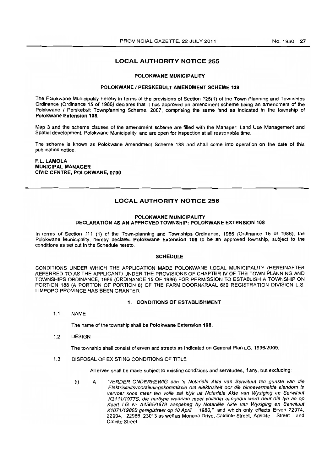### LOCAL AUTHORITY NOTICE 255

#### POlOKWANE MUNICIPALITY'

#### POLOKWANE / PERSKEBULT AMENDMENT SCHEME 138

The Polokwane Municipality hereby in terms of the provisions of Section 125(1) of the Town Planning and Townships Ordinance (Ordinance 15 of 1986) declares that it has approved an amendment scheme being an amendment of the Polokwane / Perskebult Townplanning Scheme, 2007. comprising the same land as indicated in the township of Polokwane Extension 108.

Map 3 and the scheme clauses of the amendment scheme are filled with the Manager: Land Use Management and Spatial development. Polokwane Municipality. and are open for inspection at all reasonable time.

The scheme is known as Polokwane Amendment Scheme 136 and shall come into operation on the date of this publication notice.

F.L. LAMOLA MUNICIPAL MANAGER CIVIC CENTRE, POlOKWANE, 0700

### LOCAL AUTHORITY NOTICE 256

### POlOKWANE MUNICIPALITY DECLARATION AS AN APPROVED TOWNSHIP: POLOKWANE EXTENSION 108

In terms of Section 111 (1) of the Town-planning and Townships Ordinance, 1966 (Ordinance 15 of 1986), the Polokwane Municipality, hereby declares Polokwane Extension 108 to be an approved township. subject to the conditions as set out in the Schedule hereto.

#### **SCHEDULE**

CONDITIONS UNDER WHICH THE APPLICATION MADE POLOKWANE LOCAL MUNICIPALITY (HEREINAFTER REFERRED TO AS THE APPLICANT) UNDER THE PROVISIONS OF CHAPTER IV OF THE TOWN PLANNING AND TOWNSHIPS ORDINANCE, 1986 (ORDINANCE 15 OF 1986) FOR PERMISSION TO ESTABLISH A TOWNSHIP ON PORTION 188 (A PORTION OF PORTION 8) OF THE FARM DOORNKRAAL 680 REGISTRATION DIVISION L.S. LIMPOPO PROVINCE HAS BEEN GRANTED.

#### 1. CONDITIONS OF ESTABLISHMENT

1.1 NAME

The name of the township shall be Polokwane Extension 108.

1.2 DESIGN

The township shall consist of erven and streets as indicated on General Plan LG. 1996/2009.

1.3 DISPOSAL OF EXISTING CONDITIONS OF TITLE

All erven shall be made subject to existing conditions and servitudes, if any, but excluding:

(i) A "VERDER ONDERHEWIG aan 'n Notariële Akte van Serwituut ten gunste van die Eleldrisiteitsvoorsieningskommissie om eleldrisiteit oar die binnevermelde eiendom fe vervoer soos meer ten volle sal blyk uit Notariële Akte van Wysiging en Serwituut K311111977S, die harllyne waarvan meer volledig aangedui word deur die Iyn ab op Kaarl LG Nr A4565/1979 aangeheg by Notariële Akte van Wysiging en Serwituut K1071/1980S geregistreer op 10 April 1980," and which only effects Erven 22974, 22994, 22986, 23013 as well as Monana Drive, Caldirite Street, Agrillite Street and Calcite Street.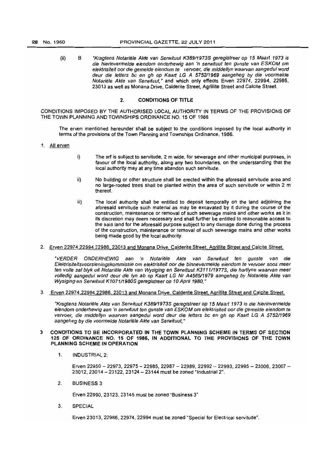(ii) B "Kragtens Notariële Akte van Serwituut K389/1973S geregistreer op 15 Maart 1973 is die hierinvermefde eiendom onderhewig aan 'n serwituut ten gunste van ESKOM om elektrisiteit oor die gemelde eiendom te vervoer, die middellyn waarvan aangedui word deur die fetters be en gh op Kaarl LG A 575211969 aangeheg by die voormelde Notariele Akte van Serwituut," and which only effects Erven 22974, 22994, 22986, 23013 as well as Monana Drive, Calderite Street, Agrillite Street and Calcite Street.

### 2. CONDITIONS OF TITLE

CONDITIONS IMPOSED BY THE AUTHORISED LOCAL AUTHORITY IN TERMS OF THE PROVISIONS OF THE TOWN PLANNING AND TOWNSHIPS ORDINANCE NO. 15 OF 1986

The erven mentioned hereunder shall be subject to the conditions imposed by the local authority in terms of the provisions of the Town Planning and Townships Ordinance, 1986.

- 1. All erven
- i) The ert is subject to servitude, 2 m wide, for sewerage and other municipal purposes, in favour of the local authority, along any two boundaries, on the understanding that the local authority may at any time abandon such servitude.
- ii} No building or other structure shall be erected within the aforesaid servitude area and no large-rooted trees shall be planted within the area of such servitude or within 2 m thereof.
- iii) The local authority shall be entitled to deposit temporally on the land adjoining the aforesaid servitude such material as may be excavated by it during the course of the construction, maintenance or removal of such sewerage mains and other works as it in its discretion may deem necessary and shall further be entitled to reasonable access to the said land for the aforesaid purpose subject to any damage done during the process of the construction. maintenance or removal of such sewerage mains and other works being made good by the local authority.
- 2. Erven 22974,22994,22986.23013 and Monana Drive, Calderite Street. Agrillite Street and Calcite Street.

"VERDER ONDERHEWIG aan 'n Notariële Akte van Serwituut ten gunste van die Elektrisiteitsvoorsieningskommissie om elektrisiteit oor die binnevermelde eiendom te vervoer soos meer ten volle sal blyk uit Notariële Akte van Wysiging en Serwituut K3111/1977S, die hartlyne waarvan meer volledig aangedui word deur die lyn ab op Kaart LG Nr A4565/1979 aangeheg by Notariële Akte van Wysiging en Serwituut K1071/1980S geregistreer op 10 April 1980,"

3. Erven 22974,22994.22986, 23013 and Monana Drive, Calderite Street. Agrillite Street and Calcite Street.

"Kragtens Notariële Akte van Serwituut K389/1973S geregistreer op 15 Maart 1973 is die hierinvermelde eiendom onderhewig aan 'n serwituut ten gunste van ESKOM om elektrisiteit oor die gemelde eiendom te vervoer, die middellyn waarvan aangedui word deur die letters bc en gh op Kaart LG A 5752/1969 aangeheg by die voormelde Notariële Akte van Serwituut."

#### 3 CONDITIONS TO BE INCORPORATED IN THE TOWN PLANNING SCHEME IN TERMS OF SECTION 125 OF ORDINANCE NO. 15 OF 1986, IN ADDITIONAL TO THE PROVISIONS OF THE TOWN PLANNING SCHEME IN OPERATION

1. INDUSTRIAL 2:

Erven *22950* - 22973, 22975 - 22985. 22987 - 22989. 22992 - 22993, 22995 - 23006, 23007 - 23012,23014 - 23122,23124 - 23144 must be zoned "Industrial 2",

2. BUSINESS 3

Erven 22990,23123,23145 must be zoned "Business 3"

3. SPECIAL

Erven 23013, 22986. 22974, 22994 must be zoned "Special for Electrical servitude".